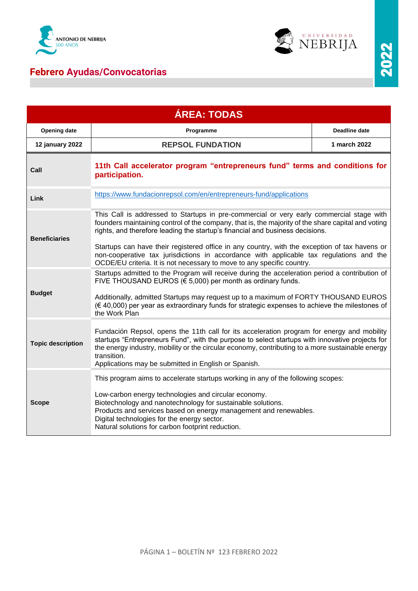

## **Febrero Ayudas/Convocatorias**



| <b>ÁREA: TODAS</b>       |                                                                                                                                                                                                                                                                                                                                                                                                                                                                                                                                                       |                      |  |
|--------------------------|-------------------------------------------------------------------------------------------------------------------------------------------------------------------------------------------------------------------------------------------------------------------------------------------------------------------------------------------------------------------------------------------------------------------------------------------------------------------------------------------------------------------------------------------------------|----------------------|--|
| <b>Opening date</b>      | Programme                                                                                                                                                                                                                                                                                                                                                                                                                                                                                                                                             | <b>Deadline date</b> |  |
| 12 january 2022          | <b>REPSOL FUNDATION</b>                                                                                                                                                                                                                                                                                                                                                                                                                                                                                                                               | 1 march 2022         |  |
| Call                     | 11th Call accelerator program "entrepreneurs fund" terms and conditions for<br>participation.                                                                                                                                                                                                                                                                                                                                                                                                                                                         |                      |  |
| Link                     | https://www.fundacionrepsol.com/en/entrepreneurs-fund/applications                                                                                                                                                                                                                                                                                                                                                                                                                                                                                    |                      |  |
| <b>Beneficiaries</b>     | This Call is addressed to Startups in pre-commercial or very early commercial stage with<br>founders maintaining control of the company, that is, the majority of the share capital and voting<br>rights, and therefore leading the startup's financial and business decisions.<br>Startups can have their registered office in any country, with the exception of tax havens or<br>non-cooperative tax jurisdictions in accordance with applicable tax regulations and the<br>OCDE/EU criteria. It is not necessary to move to any specific country. |                      |  |
| <b>Budget</b>            | Startups admitted to the Program will receive during the acceleration period a contribution of<br>FIVE THOUSAND EUROS ( $\epsilon$ 5,000) per month as ordinary funds.<br>Additionally, admitted Startups may request up to a maximum of FORTY THOUSAND EUROS<br>$(6, 40,000)$ per year as extraordinary funds for strategic expenses to achieve the milestones of<br>the Work Plan                                                                                                                                                                   |                      |  |
| <b>Topic description</b> | Fundación Repsol, opens the 11th call for its acceleration program for energy and mobility<br>startups "Entrepreneurs Fund", with the purpose to select startups with innovative projects for<br>the energy industry, mobility or the circular economy, contributing to a more sustainable energy<br>transition.<br>Applications may be submitted in English or Spanish.                                                                                                                                                                              |                      |  |
| <b>Scope</b>             | This program aims to accelerate startups working in any of the following scopes:<br>Low-carbon energy technologies and circular economy.<br>Biotechnology and nanotechnology for sustainable solutions.<br>Products and services based on energy management and renewables.<br>Digital technologies for the energy sector.<br>Natural solutions for carbon footprint reduction.                                                                                                                                                                       |                      |  |